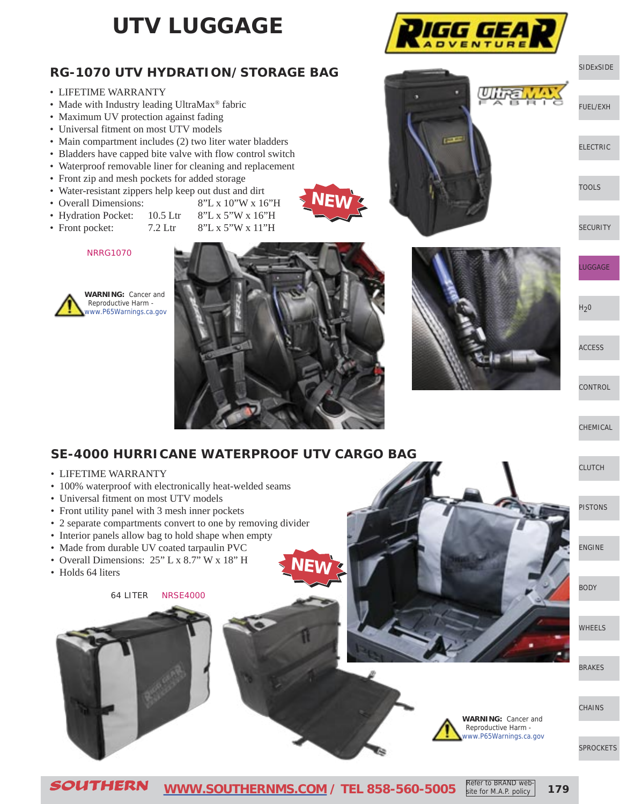## **UTV LUGGAGE**

### **RG-1070 UTV HYDRATION/STORAGE BAG**

- LIFETIME WARRANTY
- Made with Industry leading UltraMax<sup>®</sup> fabric
- Maximum UV protection against fading
- Universal fitment on most UTV models
- Main compartment includes (2) two liter water bladders
- Bladders have capped bite valve with flow control switch
- Waterproof removable liner for cleaning and replacement
- Front zip and mesh pockets for added storage
- Water-resistant zippers help keep out dust and dirt
- Overall Dimensions: 8"L x 10"W x 16"H
- Hydration Pocket: 10.5 Ltr 8"L x 5"W x 16"H
- Front pocket:  $7.2$  Ltr  $8"L x 5"W x 11"H$

NRRG1070





**NEW**



IGG GEA

[SIDExSIDE](http://www.southernms.com/wp-content/uploads/2015/08/01_UTV.pdf)

[FUEL/EXH](http://www.southernms.com/wp-content/uploads/2015/08/02_fuel_exh.pdf)

[ELECTRIC](http://www.southernms.com/wp-content/uploads/2015/08/03_electrical.pdf)

[TOOLS](http://www.southernms.com/wp-content/uploads/2015/08/04_tools.pdf)

**[SECURITY](http://www.southernms.com/wp-content/uploads/2015/08/05_locks.pdf)** 

[LUGGAGE](http://www.southernms.com/wp-content/uploads/2015/08/06_lugg.pdf)

 $H<sub>2</sub>0$ 

[ACCESS](http://www.southernms.com/wp-content/uploads/2015/08/08_accessories.pdf)

**[CONTROL](http://www.southernms.com/wp-content/uploads/2015/08/09_controls.pdf)** 

[CHEMICAL](http://www.southernms.com/wp-content/uploads/2015/08/10_chemicals.pdf)

[PISTONS](http://www.southernms.com/wp-content/uploads/2015/08/12_pistons.pdf)

[ENGINE](http://www.southernms.com/wp-content/uploads/2015/08/13_engine.pdf)

[BODY](http://www.southernms.com/wp-content/uploads/2015/08/14_body.pdf)

[WHEELS](http://www.southernms.com/wp-content/uploads/2015/08/15_wheel.pdf)

[CLUTCH](http://www.southernms.com/wp-content/uploads/2015/08/11_clutch.pdf)

### **SE-4000 HURRICANE WATERPROOF UTV CARGO BAG**

- LIFETIME WARRANTY
- 100% waterproof with electronically heat-welded seams
- Universal fitment on most UTV models
- Front utility panel with 3 mesh inner pockets
- 2 separate compartments convert to one by removing divider
- Interior panels allow bag to hold shape when empty
- Made from durable UV coated tarpaulin PVC
- Overall Dimensions: 25" L x 8.7" W x 18" H
- Holds 64 liters

64 LITER NRSE4000



**WARNING:** Cancer and Reproductive Harm [www.P65Warnings.ca.gov](http://www.P65Warnings.ca.gov)

[SPROCKETS](http://www.southernms.com/wp-content/uploads/2015/08/18_sprockets.pdf)

**[CHAINS](http://www.southernms.com/wp-content/uploads/2015/08/16_brakes.pdf)** 

[BRAKES](http://www.southernms.com/wp-content/uploads/2015/08/16_brakes.pdf)

**NEW**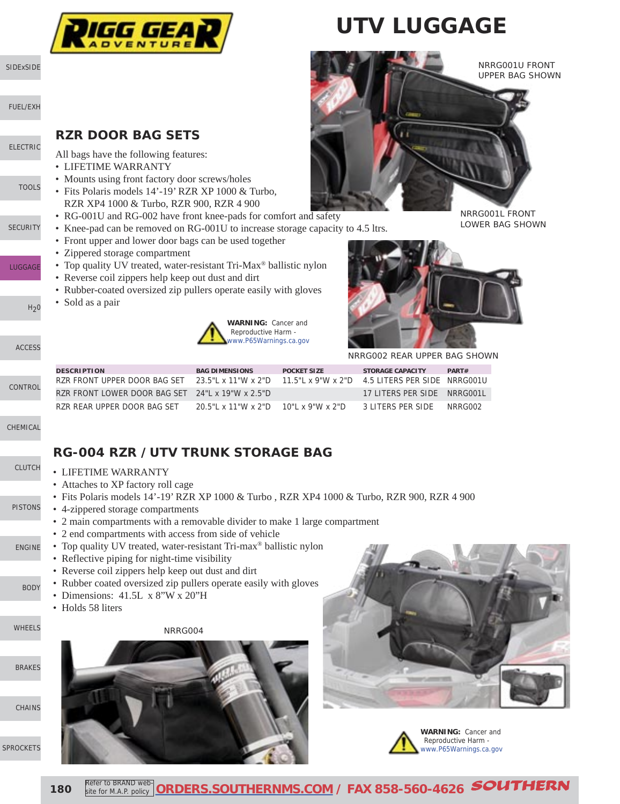

# **UTV LUGGAGE**



LOWER BAG SHOWN

#### **RZR DOOR BAG SETS**

All bags have the following features:

- LIFETIME WARRANTY
- Mounts using front factory door screws/holes
- Fits Polaris models 14'-19' RZR XP 1000 & Turbo, RZR XP4 1000 & Turbo, RZR 900, RZR 4 900
- RG-001U and RG-002 have front knee-pads for comfort and safety
- Knee-pad can be removed on RG-001U to increase storage capacity to 4.5 ltrs.
- Front upper and lower door bags can be used together
- Zippered storage compartment
- Top quality UV treated, water-resistant Tri-Max<sup>®</sup> ballistic nylon
- Reverse coil zippers help keep out dust and dirt
- Rubber-coated oversized zip pullers operate easily with gloves
- Sold as a pair





NRRG002 REAR UPPER BAG SHOWN

| <b>DESCRIPTION</b>                                                                               | <b>BAG DIMENSIONS</b>                             | <b>POCKET SIZE</b> | <b>STORAGE CAPACITY</b>     | PART#   |
|--------------------------------------------------------------------------------------------------|---------------------------------------------------|--------------------|-----------------------------|---------|
| RZR FRONT UPPER DOOR BAG SET 23.5"L x 11"W x 2"D 11.5"L x 9"W x 2"D 4.5 LITERS PER SIDE NRRG001U |                                                   |                    |                             |         |
| RZR FRONT LOWER DOOR BAG SET 24"L x 19"W x 2.5"D                                                 |                                                   |                    | 17 LITERS PER SIDE NRRG001L |         |
| RZR REAR UPPER DOOR BAG SET                                                                      | $20.5$ "   x 11" W x 2" D $-$ 10"   x 9" W x 2" D |                    | 3 LITERS PER SIDE           | NRRG002 |

### **RG-004 RZR /UTV TRUNK STORAGE BAG**

- LIFETIME WARRANTY
- Attaches to XP factory roll cage
- Fits Polaris models 14'-19' RZR XP 1000 & Turbo , RZR XP4 1000 & Turbo, RZR 900, RZR 4 900
- 4-zippered storage compartments
- 2 main compartments with a removable divider to make 1 large compartment
- 2 end compartments with access from side of vehicle
- Top quality UV treated, water-resistant Tri-max® ballistic nylon
- Reflective piping for night-time visibility
- Reverse coil zippers help keep out dust and dirt
- Rubber coated oversized zip pullers operate easily with gloves
- Dimensions: 41.5L x 8"W x 20"H
- Holds 58 liters

#### NRRG004









**180** Refer to BRAND web Refer to BRAND web-**[ORDERS.SOUTHERNMS.COM](http://orders.southernms.com) / FAX 858-560-4626** SOUTHERN

[SIDExSIDE](http://www.southernms.com/wp-content/uploads/2015/08/01_UTV.pdf)

[FUEL/EXH](http://www.southernms.com/wp-content/uploads/2015/08/02_fuel_exh.pdf)

[ELECTRIC](http://www.southernms.com/wp-content/uploads/2015/08/03_electrical.pdf)

**[TOOLS](http://www.southernms.com/wp-content/uploads/2015/08/04_tools.pdf)** 

**[SECURITY](http://www.southernms.com/wp-content/uploads/2015/08/05_locks.pdf)** 

[LUGGAGE](http://www.southernms.com/wp-content/uploads/2015/08/06_lugg.pdf)

[CONTROL](http://www.southernms.com/wp-content/uploads/2015/08/09_controls.pdf)

[CHEMICAL](http://www.southernms.com/wp-content/uploads/2015/08/10_chemicals.pdf)

[PISTONS](http://www.southernms.com/wp-content/uploads/2015/08/12_pistons.pdf)

[ENGINE](http://www.southernms.com/wp-content/uploads/2015/08/13_engine.pdf)

[BODY](http://www.southernms.com/wp-content/uploads/2015/08/14_body.pdf)

[WHEELS](http://www.southernms.com/wp-content/uploads/2015/08/15_wheel.pdf)

[SPROCKETS](http://www.southernms.com/wp-content/uploads/2015/08/18_sprockets.pdf)

[CHAINS](http://www.southernms.com/wp-content/uploads/2015/08/17_chains.pdf)

[BRAKES](http://www.southernms.com/wp-content/uploads/2015/08/16_brakes.pdf)

[CLUTCH](http://www.southernms.com/wp-content/uploads/2015/08/11_clutch.pdf)

[ACCESS](http://www.southernms.com/wp-content/uploads/2015/08/08_accessories.pdf)

 $H<sub>2</sub>0$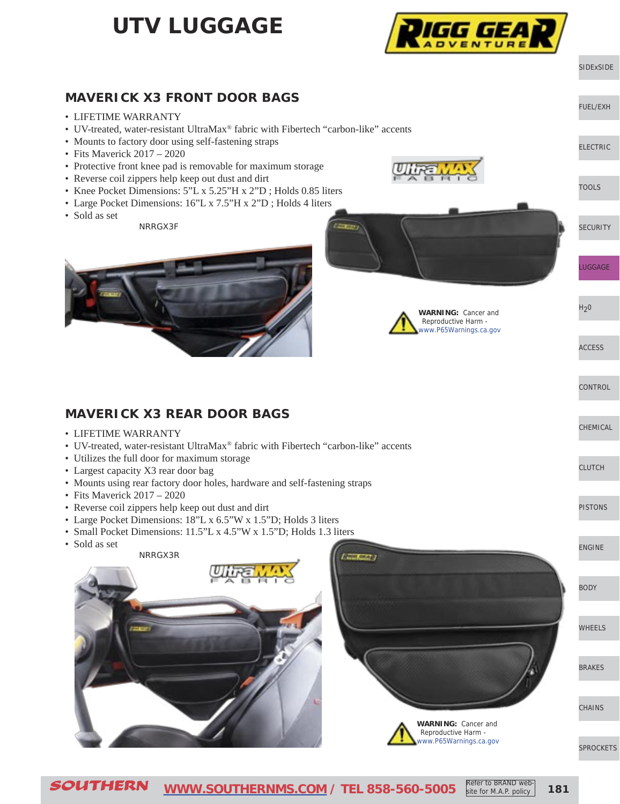## **UTV LUGGAGE**



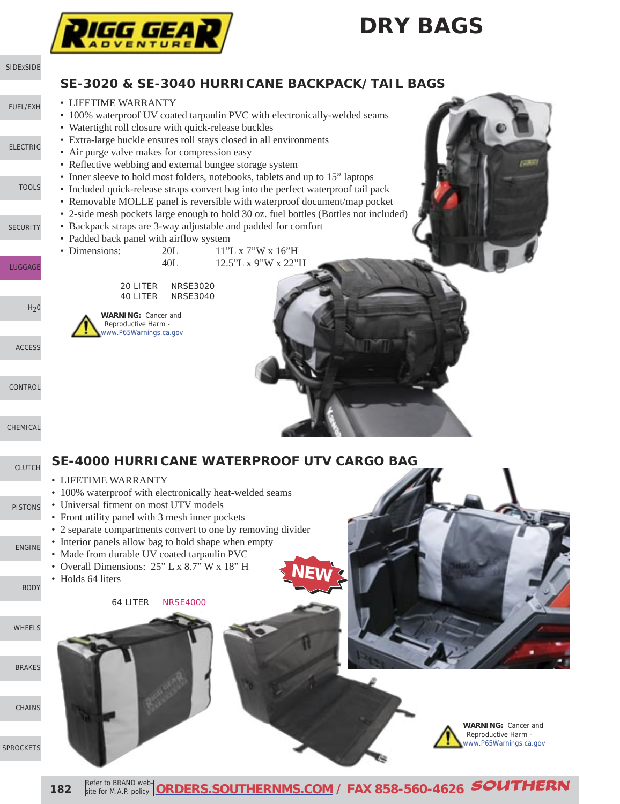## **DRY BAGS**



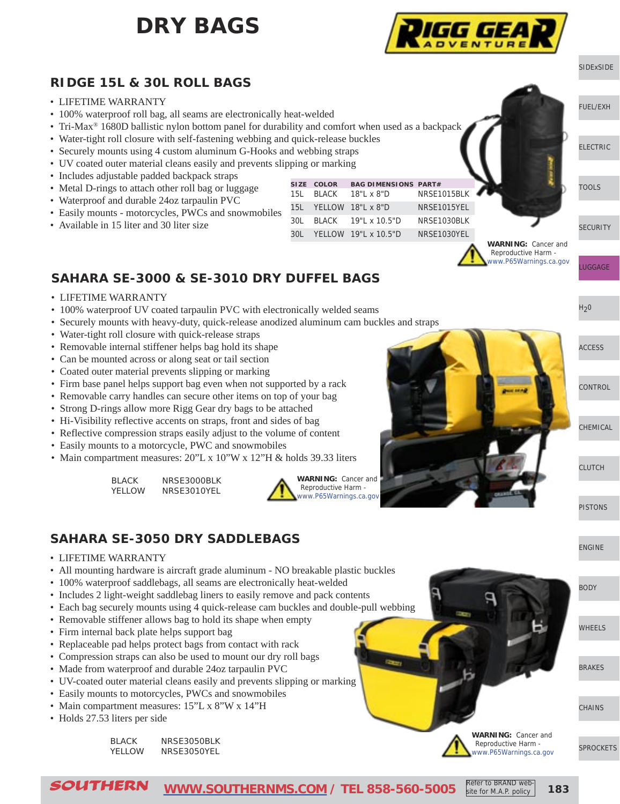## **DRY BAGS**



#### [SIDExSIDE](http://www.southernms.com/wp-content/uploads/2015/08/01_UTV.pdf) **RIDGE 15L & 30L ROLL BAGS** • LIFETIME WARRANTY [FUEL/EXH](http://www.southernms.com/wp-content/uploads/2015/08/02_fuel_exh.pdf) • 100% waterproof roll bag, all seams are electronically heat-welded • Tri-Max<sup>®</sup> 1680D ballistic nylon bottom panel for durability and comfort when used as a backpack • Water-tight roll closure with self-fastening webbing and quick-release buckles [ELECTRIC](http://www.southernms.com/wp-content/uploads/2015/08/03_electrical.pdf) • Securely mounts using 4 custom aluminum G-Hooks and webbing straps • UV coated outer material cleans easily and prevents slipping or marking • Includes adjustable padded backpack straps **SIZE COLOR BAG DIMENSIONS PART#** [TOOLS](http://www.southernms.com/wp-content/uploads/2015/08/04_tools.pdf) • Metal D-rings to attach other roll bag or luggage 15L BLACK 18"L x 8"D NRSE1015BLK • Waterproof and durable 24oz tarpaulin PVC 15L YELLOW 18"L x 8"D NRSE1015YEL • Easily mounts - motorcycles, PWCs and snowmobiles 30L BLACK 19"L x 10.5"D NRSE1030BLK • Available in 15 liter and 30 liter size **[SECURITY](http://www.southernms.com/wp-content/uploads/2015/08/05_locks.pdf)** 30L YELLOW 19"L x 10.5"D NRSE1030YEL**WARNING:** Cancer and Reproductive Harm [www.P65Warnings.ca.gov](http://www.P65Warnings.ca.gov) [LUGGAGE](http://www.southernms.com/wp-content/uploads/2015/08/06_lugg.pdf) **SAHARA SE-3000 & SE-3010 DRY DUFFEL BAGS** • LIFETIME WARRANTY  $H<sub>2</sub>0$ • 100% waterproof UV coated tarpaulin PVC with electronically welded seams • Securely mounts with heavy-duty, quick-release anodized aluminum cam buckles and straps • Water-tight roll closure with quick-release straps • Removable internal stiffener helps bag hold its shape [ACCESS](http://www.southernms.com/wp-content/uploads/2015/08/08_accessories.pdf) • Can be mounted across or along seat or tail section • Coated outer material prevents slipping or marking • Firm base panel helps support bag even when not supported by a rack [CONTROL](http://www.southernms.com/wp-content/uploads/2015/08/09_controls.pdf) **Description** • Removable carry handles can secure other items on top of your bag • Strong D-rings allow more Rigg Gear dry bags to be attached • Hi-Visibility reflective accents on straps, front and sides of bag **[CHEMICAL](http://www.southernms.com/wp-content/uploads/2015/08/10_chemicals.pdf)** • Reflective compression straps easily adjust to the volume of content • Easily mounts to a motorcycle, PWC and snowmobiles • Main compartment measures: 20"L x 10"W x 12"H & holds 39.33 liters [CLUTCH](http://www.southernms.com/wp-content/uploads/2015/08/11_clutch.pdf) BLACK NRSE3000BLK **WARNING:** Cancer and Reproductive Harm - YELLOW NRSE3010YEL [www.P65Warnings.ca.gov](http://www.P65Warnings.ca.gov) [PISTONS](http://www.southernms.com/wp-content/uploads/2015/08/12_pistons.pdf) **SAHARA SE-3050 DRY SADDLEBAGS**  [ENGINE](http://www.southernms.com/wp-content/uploads/2015/08/13_engine.pdf) • LIFETIME WARRANTY • All mounting hardware is aircraft grade aluminum - NO breakable plastic buckles • 100% waterproof saddlebags, all seams are electronically heat-welded [BODY](http://www.southernms.com/wp-content/uploads/2015/08/14_body.pdf) • Includes 2 light-weight saddlebag liners to easily remove and pack contents • Each bag securely mounts using 4 quick-release cam buckles and double-pull webbing • Removable stiffener allows bag to hold its shape when empty [WHEELS](http://www.southernms.com/wp-content/uploads/2015/08/15_wheel.pdf) • Firm internal back plate helps support bag • Replaceable pad helps protect bags from contact with rack • Compression straps can also be used to mount our dry roll bags • Made from waterproof and durable 24oz tarpaulin PVC [BRAKES](http://www.southernms.com/wp-content/uploads/2015/08/16_brakes.pdf) • UV-coated outer material cleans easily and prevents slipping or marking • Easily mounts to motorcycles, PWCs and snowmobiles • Main compartment measures: 15"L x 8"W x 14"H **[CHAINS](http://www.southernms.com/wp-content/uploads/2015/08/16_brakes.pdf)** • Holds 27.53 liters per side

BLACK NRSE3050BLK YELLOW NRSE3050YEL

[SPROCKETS](http://www.southernms.com/wp-content/uploads/2015/08/18_sprockets.pdf)

SOUTHERN **[WWW.SOUTHERNMS.COM](http://www.southernms.com) / TEL 858-560-5005 183** Refer to BRAND website for M.A.P. policy

**WARNING:** Cancer and Reproductive Harm [www.P65Warnings.ca.gov](http://www.P65Warnings.ca.gov)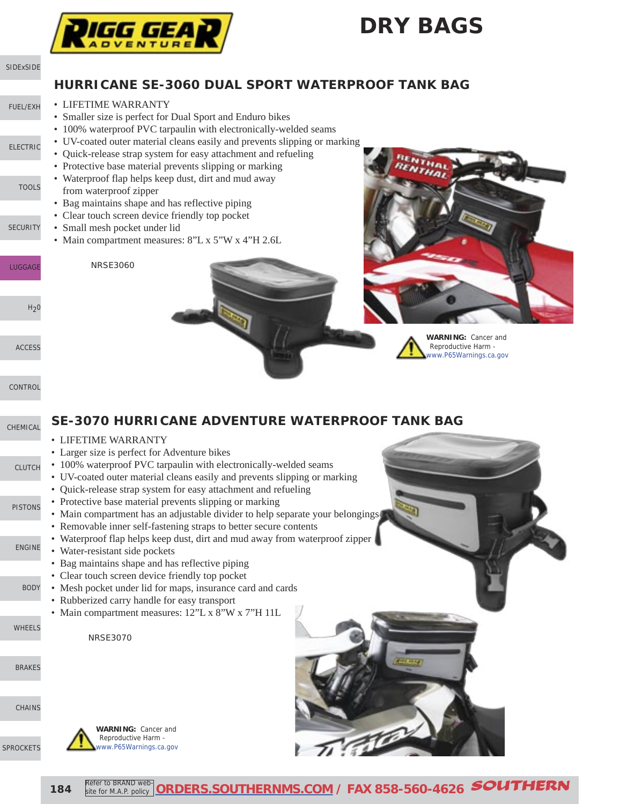## **DRY BAGS**





**184** Refer to BRAND web Refer to BRAND web-**[ORDERS.SOUTHERNMS.COM](http://orders.southernms.com) / FAX 858-560-4626** SOUTHERN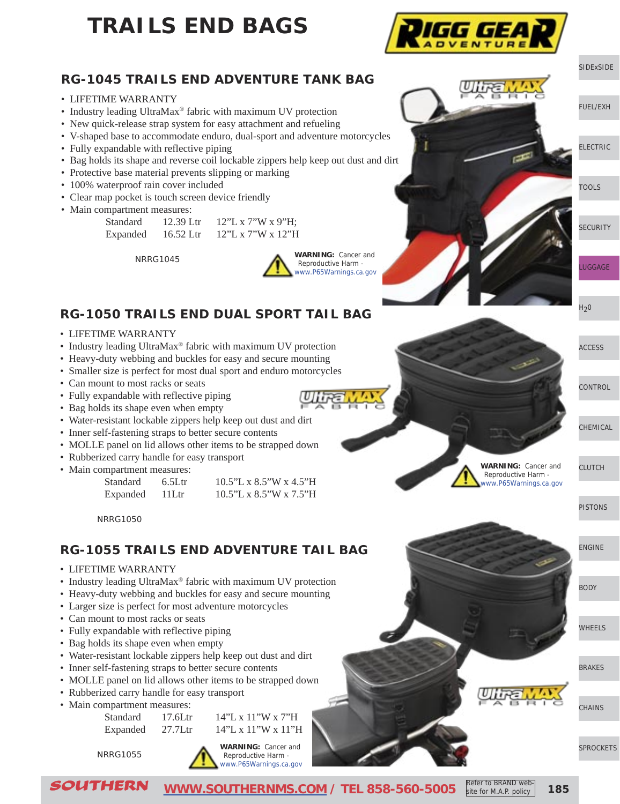# **TRAILS END BAGS**



#### **RG-1045 TRAILS END ADVENTURE TANK BAG**

- LIFETIME WARRANTY
- Industry leading UltraMax® fabric with maximum UV protection
- New quick-release strap system for easy attachment and refueling
- V-shaped base to accommodate enduro, dual-sport and adventure motorcycles
- Fully expandable with reflective piping
- Bag holds its shape and reverse coil lockable zippers help keep out dust and dirt
- Protective base material prevents slipping or marking
- 100% waterproof rain cover included
- Clear map pocket is touch screen device friendly
- Main compartment measures:

| Standard | 12.39 Ltr | 12"L x 7"W x 9"H; |
|----------|-----------|-------------------|
| Expanded | 16.52 Ltr | 12"L x 7"W x 12"H |



#### **RG-1050 TRAILS END DUAL SPORT TAIL BAG**

- LIFETIME WARRANTY
- Industry leading UltraMax® fabric with maximum UV protection
- Heavy-duty webbing and buckles for easy and secure mounting
- Smaller size is perfect for most dual sport and enduro motorcycles
- Can mount to most racks or seats
- Fully expandable with reflective piping
- Bag holds its shape even when empty
- Water-resistant lockable zippers help keep out dust and dirt
- Inner self-fastening straps to better secure contents
- MOLLE panel on lid allows other items to be strapped down
- Rubberized carry handle for easy transport
- Main compartment measures:

| Standard | $6.5$ Ltr | $10.5$ "L x 8.5"W x 4.5"H |
|----------|-----------|---------------------------|
| Expanded | 11Ltr     | $10.5$ "L x 8.5"W x 7.5"H |

NRRG1050

#### **RG-1055 TRAILS END ADVENTURE TAIL BAG**

- LIFETIME WARRANTY
- Industry leading UltraMax® fabric with maximum UV protection
- Heavy-duty webbing and buckles for easy and secure mounting
- Larger size is perfect for most adventure motorcycles
- Can mount to most racks or seats
- Fully expandable with reflective piping
- Bag holds its shape even when empty
- Water-resistant lockable zippers help keep out dust and dirt
- Inner self-fastening straps to better secure contents
- MOLLE panel on lid allows other items to be strapped down
- Rubberized carry handle for easy transport
- Main compartment measures:
	-

Standard 17.6Ltr 14"L x 11"W x 7"H Expanded  $27.7$ Ltr  $14$ "L x 11"W x 11"H

NRRG1055



**WARNING:** Cancer and Reproductive Harm [www.P65Warnings.ca.gov](http://www.P65Warnings.ca.gov)

**WARNING:** Cancer and Reproductive Harm [www.P65Warnings.ca.gov](http://www.P65Warnings.ca.gov)

[PISTONS](http://www.southernms.com/wp-content/uploads/2015/08/12_pistons.pdf)

[CLUTCH](http://www.southernms.com/wp-content/uploads/2015/08/11_clutch.pdf)

[CONTROL](http://www.southernms.com/wp-content/uploads/2015/08/09_controls.pdf)

[CHEMICAL](http://www.southernms.com/wp-content/uploads/2015/08/10_chemicals.pdf)

[ACCESS](http://www.southernms.com/wp-content/uploads/2015/08/08_accessories.pdf)

[SIDExSIDE](http://www.southernms.com/wp-content/uploads/2015/08/01_UTV.pdf)

[ELECTRIC](http://www.southernms.com/wp-content/uploads/2015/08/03_electrical.pdf)

[TOOLS](http://www.southernms.com/wp-content/uploads/2015/08/04_tools.pdf)

[LUGGAGE](http://www.southernms.com/wp-content/uploads/2015/08/06_lugg.pdf)

 $H<sub>2</sub>0$ 

**[SECURITY](http://www.southernms.com/wp-content/uploads/2015/08/05_locks.pdf)** 

[FUEL/EXH](http://www.southernms.com/wp-content/uploads/2015/08/02_fuel_exh.pdf)

[ENGINE](http://www.southernms.com/wp-content/uploads/2015/08/13_engine.pdf)

[BODY](http://www.southernms.com/wp-content/uploads/2015/08/14_body.pdf)

[WHEELS](http://www.southernms.com/wp-content/uploads/2015/08/15_wheel.pdf)

[BRAKES](http://www.southernms.com/wp-content/uploads/2015/08/16_brakes.pdf)

**[CHAINS](http://www.southernms.com/wp-content/uploads/2015/08/16_brakes.pdf)** 

[SPROCKETS](http://www.southernms.com/wp-content/uploads/2015/08/18_sprockets.pdf)

SOUTHERN **[WWW.SOUTHERNMS.COM](http://www.southernms.com) / TEL 858-560-5005 185** site for M.A.P. policy

Refer to BRAND web-

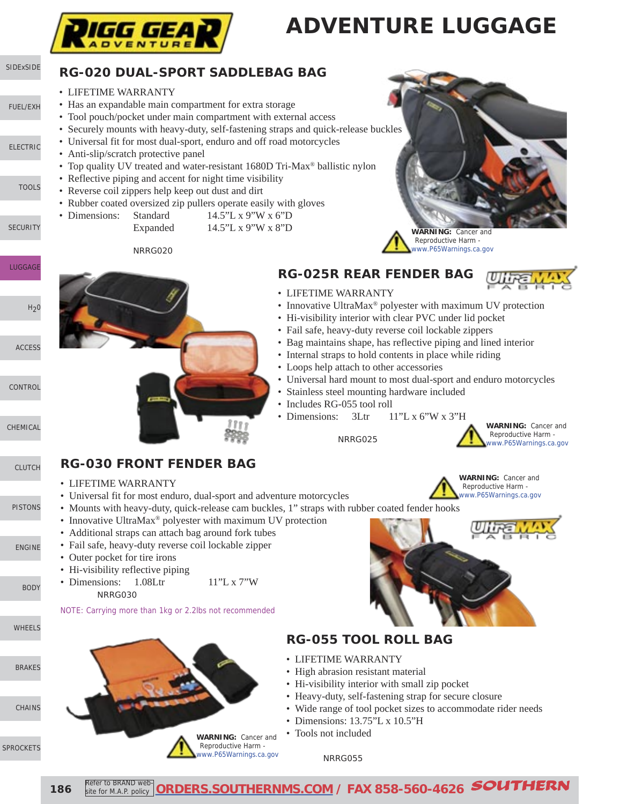

# **ADVENTURE LUGGAGE**

#### [SIDExSIDE](http://www.southernms.com/wp-content/uploads/2015/08/01_UTV.pdf) **RG-020 DUAL-SPORT SADDLEBAG BAG**

• LIFETIME WARRANTY

[ELECTRIC](http://www.southernms.com/wp-content/uploads/2015/08/03_electrical.pdf)

**[TOOLS](http://www.southernms.com/wp-content/uploads/2015/08/04_tools.pdf)** 

**[LUGGAGE](http://www.southernms.com/wp-content/uploads/2015/08/06_lugg.pdf)** 

[PISTONS](http://www.southernms.com/wp-content/uploads/2015/08/12_pistons.pdf)

[ENGINE](http://www.southernms.com/wp-content/uploads/2015/08/13_engine.pdf)

[BODY](http://www.southernms.com/wp-content/uploads/2015/08/14_body.pdf)

[WHEELS](http://www.southernms.com/wp-content/uploads/2015/08/15_wheel.pdf)

[SPROCKETS](http://www.southernms.com/wp-content/uploads/2015/08/18_sprockets.pdf)

[CHAINS](http://www.southernms.com/wp-content/uploads/2015/08/17_chains.pdf)

[BRAKES](http://www.southernms.com/wp-content/uploads/2015/08/16_brakes.pdf)

**[CHEMICAL](http://www.southernms.com/wp-content/uploads/2015/08/10_chemicals.pdf)** 

**[SECURITY](http://www.southernms.com/wp-content/uploads/2015/08/05_locks.pdf)** 

[FUEL/EXH](http://www.southernms.com/wp-content/uploads/2015/08/02_fuel_exh.pdf)

- Has an expandable main compartment for extra storage
- Tool pouch/pocket under main compartment with external access
- Securely mounts with heavy-duty, self-fastening straps and quick-release buckles
- Universal fit for most dual-sport, enduro and off road motorcycles
- Anti-slip/scratch protective panel
- Top quality UV treated and water-resistant 1680D Tri-Max<sup>®</sup> ballistic nylon
- Reflective piping and accent for night time visibility
- Reverse coil zippers help keep out dust and dirt
- Rubber coated oversized zip pullers operate easily with gloves
- Dimensions: Standard 14.5"L x 9"W x 6"D Expanded 14.5"L x 9"W x 8"D

NRRG020





• Innovative UltraMax<sup>®</sup> polyester with maximum UV protection

• Bag maintains shape, has reflective piping and lined interior

• Universal hard mount to most dual-sport and enduro motorcycles

• Hi-visibility interior with clear PVC under lid pocket • Fail safe, heavy-duty reverse coil lockable zippers

• Internal straps to hold contents in place while riding

• Loops help attach to other accessories

NRRG025

• Stainless steel mounting hardware included

• Dimensions: 3Ltr 11"L x 6"W x 3"H

**RG-025R REAR FENDER BAG**

• LIFETIME WARRANTY

• Includes RG-055 tool roll



- LIFETIME WARRANTY
- Universal fit for most enduro, dual-sport and adventure motorcycles
- Mounts with heavy-duty, quick-release cam buckles, 1" straps with rubber coated fender hooks
- Innovative UltraMax® polyester with maximum UV protection
- Additional straps can attach bag around fork tubes
- Fail safe, heavy-duty reverse coil lockable zipper
- Outer pocket for tire irons
- Hi-visibility reflective piping
- Dimensions: 1.08Ltr 11"L x 7"W NRRG030

NOTE: Carrying more than 1kg or 2.2lbs not recommended





### **RG-055 TOOL ROLL BAG**

- LIFETIME WARRANTY
- High abrasion resistant material
- Hi-visibility interior with small zip pocket
- Heavy-duty, self-fastening strap for secure closure
- Wide range of tool pocket sizes to accommodate rider needs
- Dimensions: 13.75"L x 10.5"H
- Tools not included

#### NRRG055











**WARNING:** Cancer and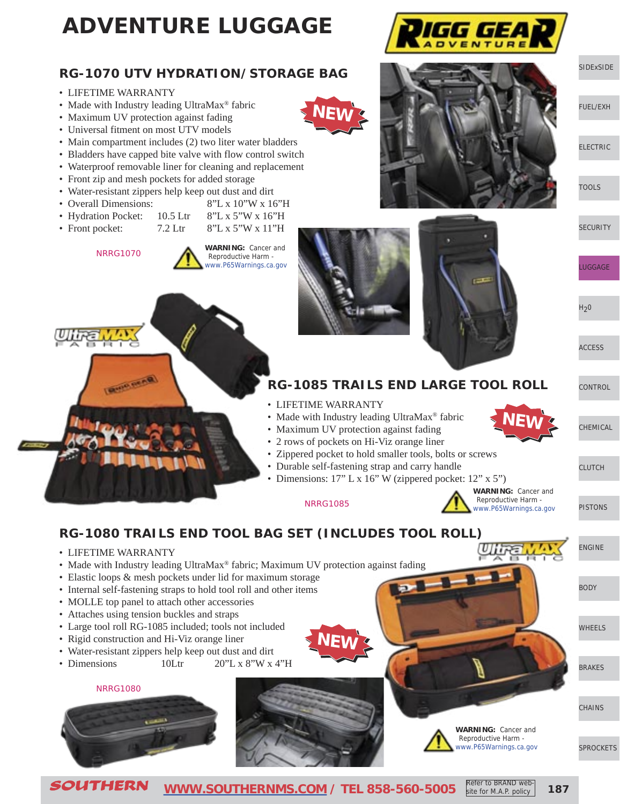# **ADVENTURE LUGGAGE**

### **RG-1070 UTV HYDRATION/STORAGE BAG**

- LIFETIME WARRANTY
- Made with Industry leading UltraMax® fabric
- Maximum UV protection against fading
- Universal fitment on most UTV models
- Main compartment includes (2) two liter water bladders
- Bladders have capped bite valve with flow control switch
- Waterproof removable liner for cleaning and replacement
- Front zip and mesh pockets for added storage
- Water-resistant zippers help keep out dust and dirt
- Overall Dimensions: 8"L x 10"W x 16"H
- Hydration Pocket: 10.5 Ltr 8"L x 5"W x 16"H
- Front pocket:  $7.2$  Ltr  $8"L x 5"W x 11"H$ 
	- NRRG1070

• LIFETIME WARRANTY











[SIDExSIDE](http://www.southernms.com/wp-content/uploads/2015/08/01_UTV.pdf)

[FUEL/EXH](http://www.southernms.com/wp-content/uploads/2015/08/02_fuel_exh.pdf)

[ELECTRIC](http://www.southernms.com/wp-content/uploads/2015/08/03_electrical.pdf)

[TOOLS](http://www.southernms.com/wp-content/uploads/2015/08/04_tools.pdf)

**[SECURITY](http://www.southernms.com/wp-content/uploads/2015/08/05_locks.pdf)** 

[LUGGAGE](http://www.southernms.com/wp-content/uploads/2015/08/06_lugg.pdf)

 $H<sub>2</sub>0$ 

[ACCESS](http://www.southernms.com/wp-content/uploads/2015/08/08_accessories.pdf)

**[CONTROL](http://www.southernms.com/wp-content/uploads/2015/08/09_controls.pdf)** 

[CHEMICAL](http://www.southernms.com/wp-content/uploads/2015/08/10_chemicals.pdf)

[CLUTCH](http://www.southernms.com/wp-content/uploads/2015/08/11_clutch.pdf)

[PISTONS](http://www.southernms.com/wp-content/uploads/2015/08/12_pistons.pdf)

[ENGINE](http://www.southernms.com/wp-content/uploads/2015/08/13_engine.pdf)

[SPROCKETS](http://www.southernms.com/wp-content/uploads/2015/08/18_sprockets.pdf)



- **RG-1085 TRAILS END LARGE TOOL ROLL**
- LIFETIME WARRANTY

**NEW**

- Made with Industry leading UltraMax® fabric
- Maximum UV protection against fading
- 2 rows of pockets on Hi-Viz orange liner
- Zippered pocket to hold smaller tools, bolts or screws
- Durable self-fastening strap and carry handle
- Dimensions: 17" L x 16" W (zippered pocket: 12" x 5")

NRRG1085

**RG-1080 TRAILS END TOOL BAG SET (INCLUDES TOOL ROLL)**



**NEW**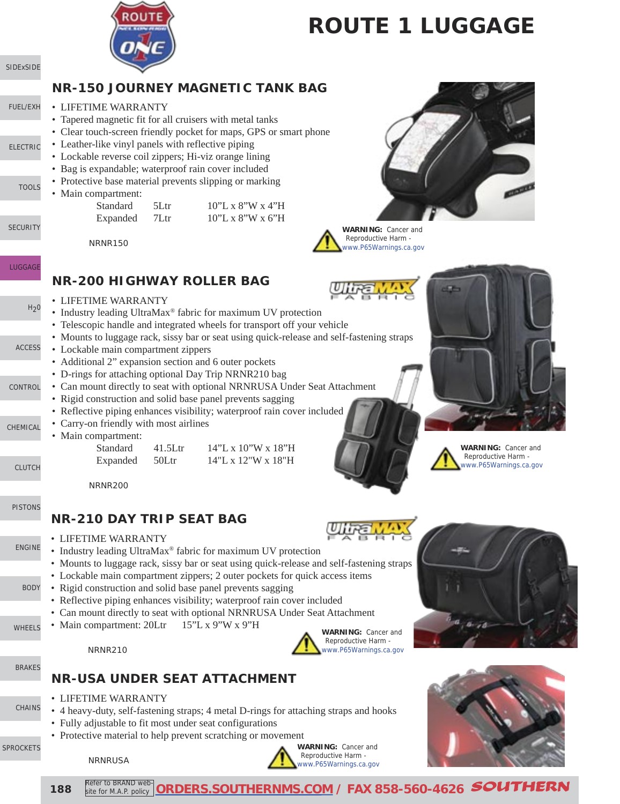

# **ROUTE 1 LUGGAGE**

### **NR-150 JOURNEY MAGNETIC TANK BAG**

- [FUEL/EXH](http://www.southernms.com/wp-content/uploads/2015/08/02_fuel_exh.pdf) • LIFETIME WARRANTY
	- Tapered magnetic fit for all cruisers with metal tanks
	- Clear touch-screen friendly pocket for maps, GPS or smart phone
	- Leather-like vinyl panels with reflective piping
	- Lockable reverse coil zippers; Hi-viz orange lining
	- Bag is expandable; waterproof rain cover included
	- Protective base material prevents slipping or marking
	- Main compartment:

[SIDExSIDE](http://www.southernms.com/wp-content/uploads/2015/08/01_UTV.pdf)

[ELECTRIC](http://www.southernms.com/wp-content/uploads/2015/08/03_electrical.pdf)

**[TOOLS](http://www.southernms.com/wp-content/uploads/2015/08/04_tools.pdf)** 

**[LUGGAGE](http://www.southernms.com/wp-content/uploads/2015/08/06_lugg.pdf)** 

**[CONTROL](http://www.southernms.com/wp-content/uploads/2015/08/09_controls.pdf)** 

[CHEMICAL](http://www.southernms.com/wp-content/uploads/2015/08/10_chemicals.pdf)

[CLUTCH](http://www.southernms.com/wp-content/uploads/2015/08/11_clutch.pdf)

[ACCESS](http://www.southernms.com/wp-content/uploads/2015/08/08_accessories.pdf)

 $H<sub>2</sub>0$ 

**[SECURITY](http://www.southernms.com/wp-content/uploads/2015/08/05_locks.pdf)** 

Standard 5Ltr 10"L x 8"W x 4"H Expanded 7Ltr  $10"L x 8"W x 6"H$ 

**NR-200 HIGHWAY ROLLER BAG**

• Additional 2" expansion section and 6 outer pockets • D-rings for attaching optional Day Trip NRNR210 bag

• Rigid construction and solid base panel prevents sagging

• Industry leading UltraMax<sup>®</sup> fabric for maximum UV protection • Telescopic handle and integrated wheels for transport off your vehicle

NRNR150

• LIFETIME WARRANTY

• Lockable main compartment zippers

• Carry-on friendly with most airlines



**WARNING:** Cancer and Reproductive Harm [www.P65Warnings.ca.gov](http://www.P65Warnings.ca.gov)









Standard 41.5Ltr 14"L x 10"W x 18"H

• Main compartment:

Expanded  $50$ Ltr  $14$ "L x 12"W x 18"H

NRNR200

• LIFETIME WARRANTY

#### [PISTONS](http://www.southernms.com/wp-content/uploads/2015/08/12_pistons.pdf) **NR-210 DAY TRIP SEAT BAG**

- [ENGINE](http://www.southernms.com/wp-content/uploads/2015/08/13_engine.pdf)
- 

- [BODY](http://www.southernms.com/wp-content/uploads/2015/08/14_body.pdf)
- 
- 
- 

[WHEELS](http://www.southernms.com/wp-content/uploads/2015/08/15_wheel.pdf)

• Main compartment: 20Ltr 15"L x 9"W x 9"H





[BRAKES](http://www.southernms.com/wp-content/uploads/2015/08/16_brakes.pdf)

[SPROCKETS](http://www.southernms.com/wp-content/uploads/2015/08/18_sprockets.pdf)

[CHAINS](http://www.southernms.com/wp-content/uploads/2015/08/16_brakes.pdf)

• LIFETIME WARRANTY • 4 heavy-duty, self-fastening straps; 4 metal D-rings for attaching straps and hooks

- Fully adjustable to fit most under seat configurations
- Protective material to help prevent scratching or movement

**NR-USA UNDER SEAT ATTACHMENT**

• Industry leading UltraMax® fabric for maximum UV protection

• Rigid construction and solid base panel prevents sagging

• Mounts to luggage rack, sissy bar or seat using quick-release and self-fastening straps

• Lockable main compartment zippers; 2 outer pockets for quick access items

• Can mount directly to seat with optional NRNRUSA Under Seat Attachment

• Reflective piping enhances visibility; waterproof rain cover included

• Can mount directly to seat with optional NRNRUSA Under Seat Attachment

• Reflective piping enhances visibility; waterproof rain cover included







**188** Refer to BRAND web Refer to BRAND web-**[ORDERS.SOUTHERNMS.COM](http://orders.southernms.com) / FAX 858-560-4626** SOUTHERN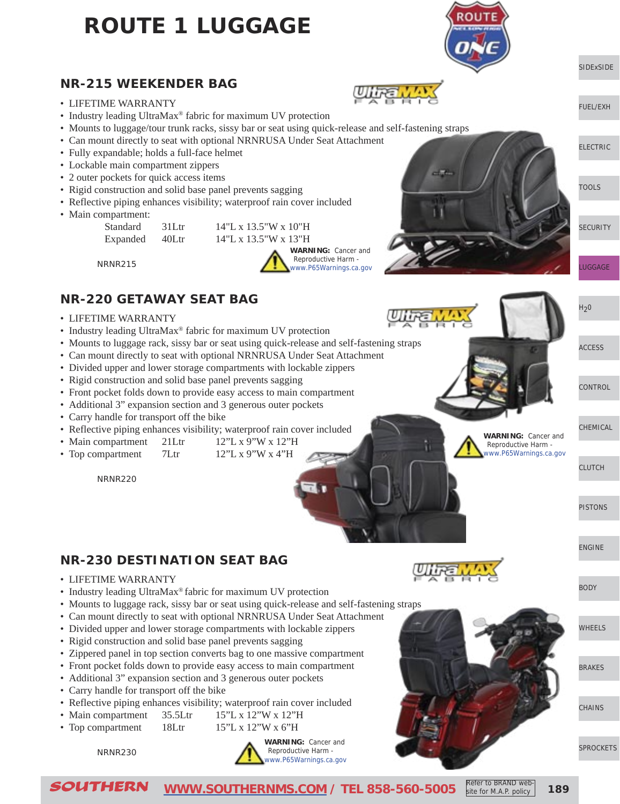# **ROUTE 1 LUGGAGE**



#### **NR-215 WEEKENDER BAG**

- LIFETIME WARRANTY
- Industry leading UltraMax® fabric for maximum UV protection
- Mounts to luggage/tour trunk racks, sissy bar or seat using quick-release and self-fastening straps
- Can mount directly to seat with optional NRNRUSA Under Seat Attachment
- Fully expandable; holds a full-face helmet
- Lockable main compartment zippers
- 2 outer pockets for quick access items
- Rigid construction and solid base panel prevents sagging
- Reflective piping enhances visibility; waterproof rain cover included
- Main compartment:



NRNR215

### **NR-220 GETAWAY SEAT BAG**

- LIFETIME WARRANTY
- Industry leading UltraMax<sup>®</sup> fabric for maximum UV protection
- Mounts to luggage rack, sissy bar or seat using quick-release and self-fastening straps
- Can mount directly to seat with optional NRNRUSA Under Seat Attachment
- Divided upper and lower storage compartments with lockable zippers
- Rigid construction and solid base panel prevents sagging
- Front pocket folds down to provide easy access to main compartment
- Additional 3" expansion section and 3 generous outer pockets
- Carry handle for transport off the bike
- Reflective piping enhances visibility; waterproof rain cover included
- Main compartment 21Ltr 12"L x 9"W x 12"H
- Top compartment 7Ltr 12"L x 9"W x 4"H

NRNR220

#### **NR-230 DESTINATION SEAT BAG**

- LIFETIME WARRANTY
- Industry leading UltraMax® fabric for maximum UV protection
- Mounts to luggage rack, sissy bar or seat using quick-release and self-fastening straps
- Can mount directly to seat with optional NRNRUSA Under Seat Attachment
- Divided upper and lower storage compartments with lockable zippers
- Rigid construction and solid base panel prevents sagging
- Zippered panel in top section converts bag to one massive compartment
- Front pocket folds down to provide easy access to main compartment
- Additional 3" expansion section and 3 generous outer pockets
- Carry handle for transport off the bike
- Reflective piping enhances visibility; waterproof rain cover included
- Main compartment 35.5Ltr 15"L x 12"W x 12"H
- Top compartment 18Ltr 15"L x 12"W x 6"H

NRNR230







[BODY](http://www.southernms.com/wp-content/uploads/2015/08/14_body.pdf)

[WHEELS](http://www.southernms.com/wp-content/uploads/2015/08/15_wheel.pdf)

[BRAKES](http://www.southernms.com/wp-content/uploads/2015/08/16_brakes.pdf)

**[CHAINS](http://www.southernms.com/wp-content/uploads/2015/08/17_chains.pdf)** 

[SPROCKETS](http://www.southernms.com/wp-content/uploads/2015/08/18_sprockets.pdf)

**SOUTHERN** [WWW.SOUTHERNMS.COM](http://www.southernms.com) / TEL 858-560-5005 Refer to BRAND Web-

site for M.A.P. policy

[LUGGAGE](http://www.southernms.com/wp-content/uploads/2015/08/06_lugg.pdf)

**[SECURITY](http://www.southernms.com/wp-content/uploads/2015/08/05_locks.pdf)** 

**[SIDExSIDE](http://www.southernms.com/wp-content/uploads/2015/08/01_UTV.pdf)** 

[ELECTRIC](http://www.southernms.com/wp-content/uploads/2015/08/03_electrical.pdf)

[TOOLS](http://www.southernms.com/wp-content/uploads/2015/08/04_tools.pdf)

[FUEL/EXH](http://www.southernms.com/wp-content/uploads/2015/08/02_fuel_exh.pdf)

 $H<sub>2</sub>0$ 

[ACCESS](http://www.southernms.com/wp-content/uploads/2015/08/08_accessories.pdf)

[CONTROL](http://www.southernms.com/wp-content/uploads/2015/08/09_controls.pdf)

[CHEMICAL](http://www.southernms.com/wp-content/uploads/2015/08/10_chemicals.pdf)

 Reproductive Harm [www.P65Warnings.ca.gov](http://www.P65Warnings.ca.gov)

**WARNING:** Cancer and

[CLUTCH](http://www.southernms.com/wp-content/uploads/2015/08/11_clutch.pdf)

[PISTONS](http://www.southernms.com/wp-content/uploads/2015/08/12_pistons.pdf)

[ENGINE](http://www.southernms.com/wp-content/uploads/2015/08/13_engine.pdf)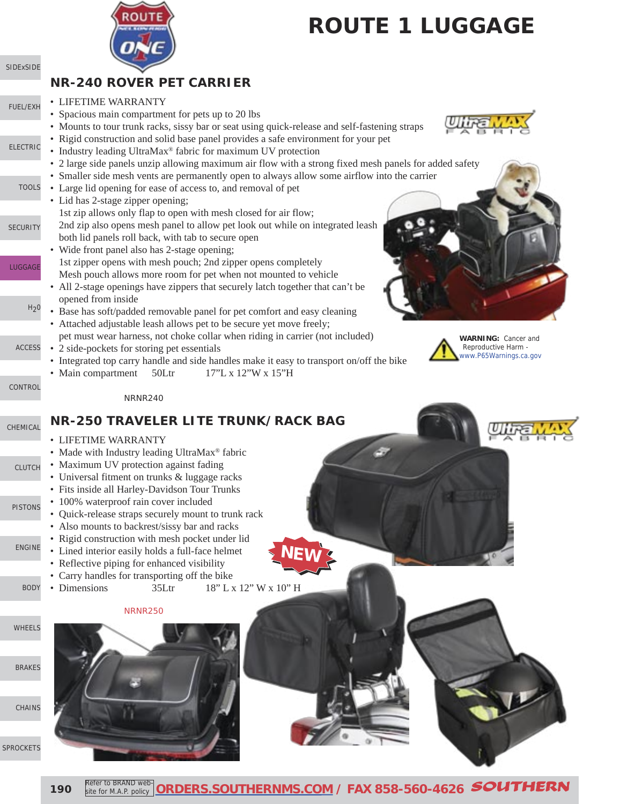

[SPROCKETS](http://www.southernms.com/wp-content/uploads/2015/08/18_sprockets.pdf)

# **ROUTE 1 LUGGAGE**

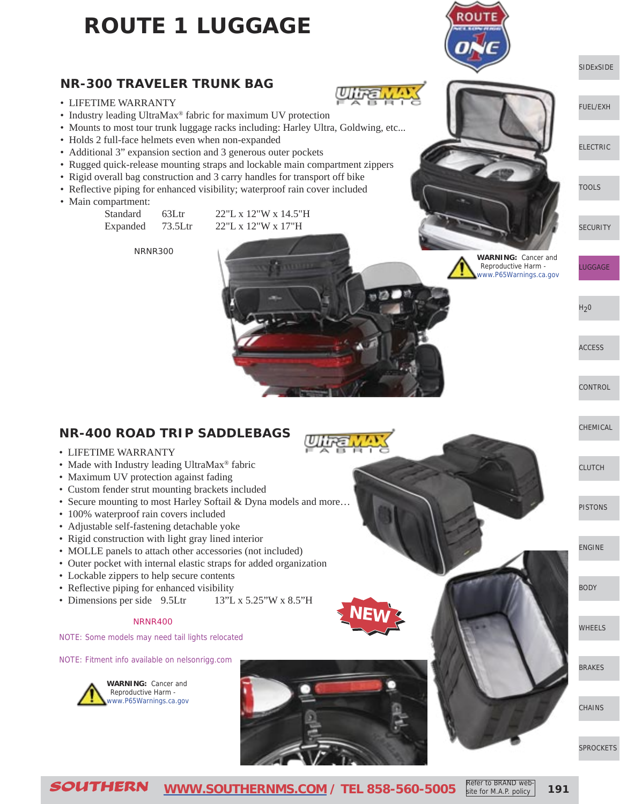## **ROUTE 1 LUGGAGE**

#### **NR-300 TRAVELER TRUNK BAG**

- LIFETIME WARRANTY
- Industry leading UltraMax® fabric for maximum UV protection
- Mounts to most tour trunk luggage racks including: Harley Ultra, Goldwing, etc...
- Holds 2 full-face helmets even when non-expanded
- Additional 3" expansion section and 3 generous outer pockets
- Rugged quick-release mounting straps and lockable main compartment zippers
- Rigid overall bag construction and 3 carry handles for transport off bike
- Reflective piping for enhanced visibility; waterproof rain cover included
- Main compartment:

| Standard | $63L$ tr | $22$ "L x 12"W x 14.5"H |
|----------|----------|-------------------------|
| Expanded | 73.5Ltr  | $22$ "L x 12"W x 17"H   |

NRNR300

**WARNING:** Cancer and Reproductive Harm [www.P65Warnings.ca.gov](http://www.P65Warnings.ca.gov)

 $H<sub>2</sub>0$ 

[LUGGAGE](http://www.southernms.com/wp-content/uploads/2015/08/06_lugg.pdf)

**[SECURITY](http://www.southernms.com/wp-content/uploads/2015/08/05_locks.pdf)** 

[SIDExSIDE](http://www.southernms.com/wp-content/uploads/2015/08/01_UTV.pdf)

[ELECTRIC](http://www.southernms.com/wp-content/uploads/2015/08/03_electrical.pdf)

[TOOLS](http://www.southernms.com/wp-content/uploads/2015/08/04_tools.pdf)

[FUEL/EXH](http://www.southernms.com/wp-content/uploads/2015/08/02_fuel_exh.pdf)

[ACCESS](http://www.southernms.com/wp-content/uploads/2015/08/08_accessories.pdf)

**[CONTROL](http://www.southernms.com/wp-content/uploads/2015/08/09_controls.pdf)** 

[CHEMICAL](http://www.southernms.com/wp-content/uploads/2015/08/10_chemicals.pdf)

[CLUTCH](http://www.southernms.com/wp-content/uploads/2015/08/11_clutch.pdf)

[PISTONS](http://www.southernms.com/wp-content/uploads/2015/08/12_pistons.pdf)

[ENGINE](http://www.southernms.com/wp-content/uploads/2015/08/13_engine.pdf)

[BODY](http://www.southernms.com/wp-content/uploads/2015/08/14_body.pdf)

[WHEELS](http://www.southernms.com/wp-content/uploads/2015/08/15_wheel.pdf)

[BRAKES](http://www.southernms.com/wp-content/uploads/2015/08/16_brakes.pdf)

**[CHAINS](http://www.southernms.com/wp-content/uploads/2015/08/17_chains.pdf)** 

[SPROCKETS](http://www.southernms.com/wp-content/uploads/2015/08/18_sprockets.pdf)

## **NR-400 ROAD TRIP SADDLEBAGS**

- LIFETIME WARRANTY
- Made with Industry leading UltraMax® fabric
- Maximum UV protection against fading
- Custom fender strut mounting brackets included
- Secure mounting to most Harley Softail & Dyna models and more…
- 100% waterproof rain covers included
- Adjustable self-fastening detachable yoke
- Rigid construction with light gray lined interior
- MOLLE panels to attach other accessories (not included)
- Outer pocket with internal elastic straps for added organization
- Lockable zippers to help secure contents
- Reflective piping for enhanced visibility
- Dimensions per side 9.5Ltr 13"L x 5.25"W x 8.5"H

#### NRNR400

NOTE: Some models may need tail lights relocated

NOTE: Fitment info available on nelsonrigg.com



**WARNING:** Cancer and Reproductive Harm [www.P65Warnings.ca.gov](http://www.P65Warnings.ca.gov)



**NEW**

**191**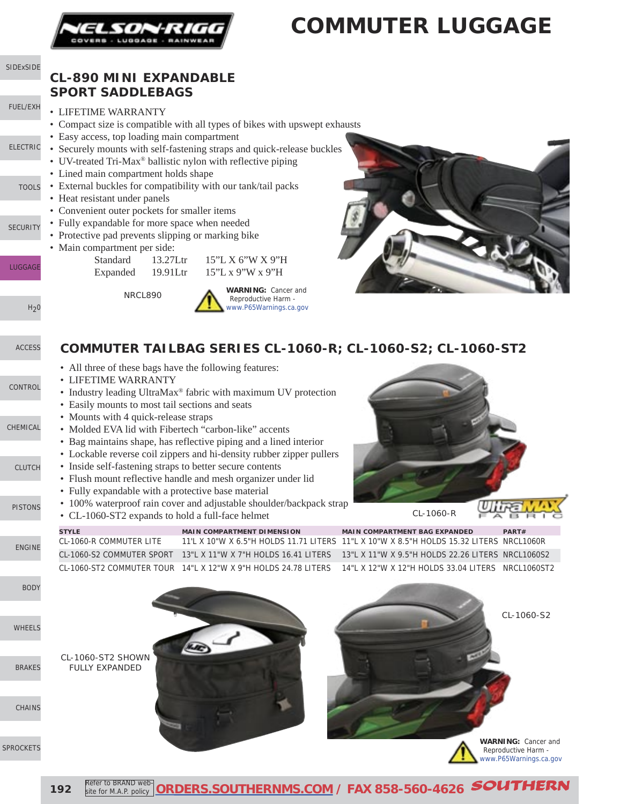

S

 $SP$ 

# **COMMUTER LUGGAGE**

| SIDExSIDE        | <b>CL-890 MINI EXPANDABLE</b>                                                                         |                                                                                                                                 |                                                                                                        |                                                   |
|------------------|-------------------------------------------------------------------------------------------------------|---------------------------------------------------------------------------------------------------------------------------------|--------------------------------------------------------------------------------------------------------|---------------------------------------------------|
|                  | <b>SPORT SADDLEBAGS</b>                                                                               |                                                                                                                                 |                                                                                                        |                                                   |
| FUEL/EXH         | • LIFETIME WARRANTY                                                                                   |                                                                                                                                 |                                                                                                        |                                                   |
|                  | • Easy access, top loading main compartment                                                           | • Compact size is compatible with all types of bikes with upswept exhausts                                                      |                                                                                                        |                                                   |
| <b>ELECTRIC</b>  |                                                                                                       | • Securely mounts with self-fastening straps and quick-release buckles                                                          |                                                                                                        |                                                   |
|                  | • UV-treated Tri-Max <sup>®</sup> ballistic nylon with reflective piping                              |                                                                                                                                 |                                                                                                        |                                                   |
| <b>TOOLS</b>     | • Lined main compartment holds shape<br>• External buckles for compatibility with our tank/tail packs |                                                                                                                                 |                                                                                                        |                                                   |
|                  | • Heat resistant under panels                                                                         |                                                                                                                                 |                                                                                                        |                                                   |
|                  | • Convenient outer pockets for smaller items                                                          |                                                                                                                                 |                                                                                                        |                                                   |
| <b>SECURITY</b>  | • Fully expandable for more space when needed<br>• Protective pad prevents slipping or marking bike   |                                                                                                                                 |                                                                                                        |                                                   |
|                  | • Main compartment per side:                                                                          |                                                                                                                                 |                                                                                                        |                                                   |
| <b>LUGGAGE</b>   | Standard<br>13.27Ltr                                                                                  | 15"L X 6"W X 9"H                                                                                                                |                                                                                                        |                                                   |
|                  | Expanded<br>19.91Ltr                                                                                  | 15"L x 9"W x 9"H                                                                                                                |                                                                                                        |                                                   |
|                  | NRCL890                                                                                               | <b>WARNING: Cancer and</b><br>Reproductive Harm -                                                                               |                                                                                                        |                                                   |
| H <sub>2</sub> 0 |                                                                                                       | www.P65Warnings.ca.gov                                                                                                          |                                                                                                        |                                                   |
|                  |                                                                                                       |                                                                                                                                 |                                                                                                        |                                                   |
| <b>ACCESS</b>    |                                                                                                       | COMMUTER TAILBAG SERIES CL-1060-R; CL-1060-S2; CL-1060-ST2                                                                      |                                                                                                        |                                                   |
|                  | • All three of these bags have the following features:                                                |                                                                                                                                 |                                                                                                        |                                                   |
| CONTROL          | • LIFETIME WARRANTY                                                                                   |                                                                                                                                 |                                                                                                        |                                                   |
|                  |                                                                                                       | • Industry leading UltraMax® fabric with maximum UV protection                                                                  |                                                                                                        |                                                   |
|                  | • Easily mounts to most tail sections and seats<br>• Mounts with 4 quick-release straps               |                                                                                                                                 |                                                                                                        |                                                   |
| CHEMICAL         | • Molded EVA lid with Fibertech "carbon-like" accents                                                 |                                                                                                                                 |                                                                                                        |                                                   |
|                  |                                                                                                       | • Bag maintains shape, has reflective piping and a lined interior                                                               |                                                                                                        |                                                   |
| <b>CLUTCH</b>    | • Inside self-fastening straps to better secure contents                                              | • Lockable reverse coil zippers and hi-density rubber zipper pullers                                                            |                                                                                                        |                                                   |
|                  |                                                                                                       | • Flush mount reflective handle and mesh organizer under lid                                                                    |                                                                                                        |                                                   |
|                  | • Fully expandable with a protective base material                                                    | • 100% waterproof rain cover and adjustable shoulder/backpack strap                                                             |                                                                                                        |                                                   |
| <b>PISTONS</b>   | • CL-1060-ST2 expands to hold a full-face helmet                                                      |                                                                                                                                 | CL-1060-R                                                                                              | Vitra<br><b>FABRIC</b>                            |
|                  | <b>STYLE</b>                                                                                          | <b>MAIN COMPARTMENT DIMENSION</b>                                                                                               | <b>MAIN COMPARTMENT BAG EXPANDED</b>                                                                   | PART#                                             |
| <b>ENGINE</b>    | <b>CL-1060-R COMMUTER LITE</b>                                                                        | 11'L X 10"W X 6.5"H HOLDS 11.71 LITERS 11"L X 10"W X 8.5"H HOLDS 15.32 LITERS NRCL1060R<br>13"L X 11"W X 7"H HOLDS 16.41 LITERS |                                                                                                        |                                                   |
|                  | CL-1060-S2 COMMUTER SPORT                                                                             | CL-1060-ST2 COMMUTER TOUR 14"L X 12"W X 9"H HOLDS 24.78 LITERS                                                                  | 13"L X 11"W X 9.5"H HOLDS 22.26 LITERS NRCL1060S2<br>14"L X 12"W X 12"H HOLDS 33.04 LITERS NRCL1060ST2 |                                                   |
| <b>BODY</b>      |                                                                                                       |                                                                                                                                 |                                                                                                        |                                                   |
|                  |                                                                                                       |                                                                                                                                 |                                                                                                        |                                                   |
|                  |                                                                                                       |                                                                                                                                 |                                                                                                        | CL-1060-S2                                        |
| <b>WHEELS</b>    |                                                                                                       |                                                                                                                                 |                                                                                                        |                                                   |
|                  |                                                                                                       |                                                                                                                                 |                                                                                                        |                                                   |
| <b>BRAKES</b>    | CL-1060-ST2 SHOWN<br><b>FULLY EXPANDED</b>                                                            |                                                                                                                                 |                                                                                                        |                                                   |
|                  |                                                                                                       |                                                                                                                                 |                                                                                                        |                                                   |
|                  |                                                                                                       |                                                                                                                                 |                                                                                                        |                                                   |
| <b>CHAINS</b>    |                                                                                                       |                                                                                                                                 |                                                                                                        |                                                   |
|                  |                                                                                                       |                                                                                                                                 |                                                                                                        |                                                   |
| <b>PROCKETS</b>  |                                                                                                       |                                                                                                                                 |                                                                                                        | <b>WARNING: Cancer and</b><br>Reproductive Harm - |
|                  |                                                                                                       |                                                                                                                                 |                                                                                                        | www.P65Warnings.ca.gov                            |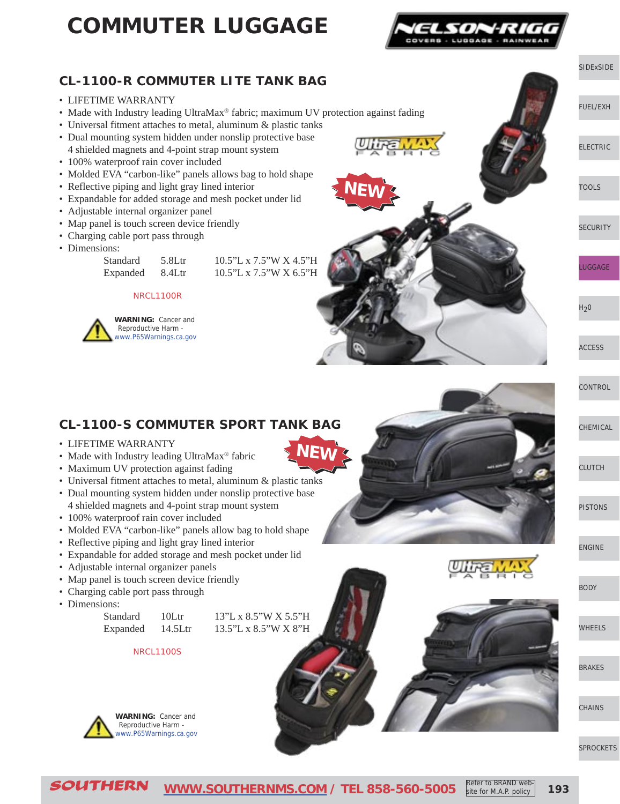# **COMMUTER LUGGAGE**



#### **CL-1100-R COMMUTER LITE TANK BAG**

- LIFETIME WARRANTY
- Made with Industry leading UltraMax® fabric; maximum UV protection against fading
- Universal fitment attaches to metal, aluminum & plastic tanks
- Dual mounting system hidden under nonslip protective base 4 shielded magnets and 4-point strap mount system
- 100% waterproof rain cover included
- Molded EVA "carbon-like" panels allows bag to hold shape
- Reflective piping and light gray lined interior
- Expandable for added storage and mesh pocket under lid
- Adjustable internal organizer panel
- Map panel is touch screen device friendly
- Charging cable port pass through
- Dimensions:

Standard 5.8Ltr 10.5"L x 7.5"W X 4.5"H Expanded 8.4Ltr 10.5"L x 7.5"W X 6.5"H

#### NRCL1100R





#### **CL-1100-S COMMUTER SPORT TANK BAG**

- LIFETIME WARRANTY
- Made with Industry leading UltraMax<sup>®</sup> fabric
- Maximum UV protection against fading
- Universal fitment attaches to metal, aluminum & plastic tanks
- Dual mounting system hidden under nonslip protective base
- 4 shielded magnets and 4-point strap mount system
- 100% waterproof rain cover included
- Molded EVA "carbon-like" panels allow bag to hold shape
- Reflective piping and light gray lined interior
- Expandable for added storage and mesh pocket under lid
- Adjustable internal organizer panels
- Map panel is touch screen device friendly
- Charging cable port pass through
- Dimensions:

| Standard | 10 <sup>LT</sup> |
|----------|------------------|
| Expanded | 14.5Lti          |

13"L x 8.5"W X 5.5"H 13.5"L x 8.5"W X 8"H

NRCL1100S



[CLUTCH](http://www.southernms.com/wp-content/uploads/2015/08/11_clutch.pdf)

**[CONTROL](http://www.southernms.com/wp-content/uploads/2015/08/08_accessories.pdf)** 

[CHEMICAL](http://www.southernms.com/wp-content/uploads/2015/08/10_chemicals.pdf)

[ACCESS](http://www.southernms.com/wp-content/uploads/2015/08/08_accessories.pdf)

[SIDExSIDE](http://www.southernms.com/wp-content/uploads/2015/08/01_UTV.pdf)

[FUEL/EXH](http://www.southernms.com/wp-content/uploads/2015/08/02_fuel_exh.pdf)

[ELECTRIC](http://www.southernms.com/wp-content/uploads/2015/08/03_electrical.pdf)

[TOOLS](http://www.southernms.com/wp-content/uploads/2015/08/04_tools.pdf)

[LUGGAGE](http://www.southernms.com/wp-content/uploads/2015/08/06_lugg.pdf)

 $H<sub>2</sub>0$ 

**[SECURITY](http://www.southernms.com/wp-content/uploads/2015/08/05_locks.pdf)** 

[PISTONS](http://www.southernms.com/wp-content/uploads/2015/08/12_pistons.pdf)

[ENGINE](http://www.southernms.com/wp-content/uploads/2015/08/13_engine.pdf)

[BODY](http://www.southernms.com/wp-content/uploads/2015/08/14_body.pdf)

[WHEELS](http://www.southernms.com/wp-content/uploads/2015/08/15_wheel.pdf)

[BRAKES](http://www.southernms.com/wp-content/uploads/2015/08/16_brakes.pdf)

**[CHAINS](http://www.southernms.com/wp-content/uploads/2015/08/17_chains.pdf)** 

[SPROCKETS](http://www.southernms.com/wp-content/uploads/2015/08/18_sprockets.pdf)



SOUTHERN **[WWW.SOUTHERNMS.COM](http://www.southernms.com) / TEL 858-560-5005 193** Refer to BRAND website for M.A.P. policy

**NEW**